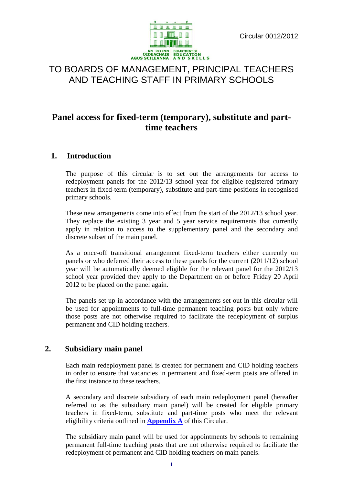

# TO BOARDS OF MANAGEMENT, PRINCIPAL TEACHERS AND TEACHING STAFF IN PRIMARY SCHOOLS

# **Panel access for fixed-term (temporary), substitute and parttime teachers**

## **1. Introduction**

The purpose of this circular is to set out the arrangements for access to redeployment panels for the 2012/13 school year for eligible registered primary teachers in fixed-term (temporary), substitute and part-time positions in recognised primary schools.

These new arrangements come into effect from the start of the 2012/13 school year. They replace the existing 3 year and 5 year service requirements that currently apply in relation to access to the supplementary panel and the secondary and discrete subset of the main panel.

As a once-off transitional arrangement fixed-term teachers either currently on panels or who deferred their access to these panels for the current (2011/12) school year will be automatically deemed eligible for the relevant panel for the 2012/13 school year provided they apply to the Department on or before Friday 20 April 2012 to be placed on the panel again.

The panels set up in accordance with the arrangements set out in this circular will be used for appointments to full-time permanent teaching posts but only where those posts are not otherwise required to facilitate the redeployment of surplus permanent and CID holding teachers.

### **2. Subsidiary main panel**

Each main redeployment panel is created for permanent and CID holding teachers in order to ensure that vacancies in permanent and fixed-term posts are offered in the first instance to these teachers.

A secondary and discrete subsidiary of each main redeployment panel (hereafter referred to as the subsidiary main panel) will be created for eligible primary teachers in fixed-term, substitute and part-time posts who meet the relevant eligibility criteria outlined in **[Appendix A](http://www.education.ie/en/Circulars-and-Forms/Active-Circulars/cl0012_2012_appendix_a.pdf)** of this Circular.

The subsidiary main panel will be used for appointments by schools to remaining permanent full-time teaching posts that are not otherwise required to facilitate the redeployment of permanent and CID holding teachers on main panels.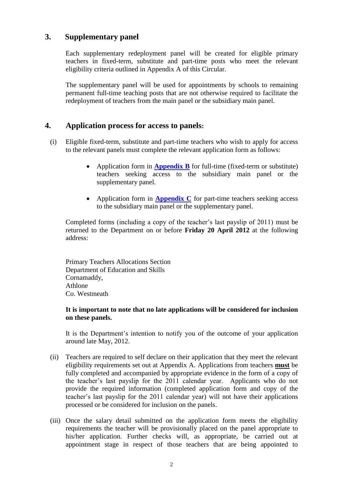## **3. Supplementary panel**

Each supplementary redeployment panel will be created for eligible primary teachers in fixed-term, substitute and part-time posts who meet the relevant eligibility criteria outlined in Appendix A of this Circular.

The supplementary panel will be used for appointments by schools to remaining permanent full-time teaching posts that are not otherwise required to facilitate the redeployment of teachers from the main panel or the subsidiary main panel.

### **4. Application process for access to panels:**

- (i) Eligible fixed-term, substitute and part-time teachers who wish to apply for access to the relevant panels must complete the relevant application form as follows:
	- Application form in **[Appendix B](http://www.education.ie/en/Circulars-and-Forms/Active-Circulars/cl0012_2012_appendix_b.pdf)** for full-time (fixed-term or substitute) teachers seeking access to the subsidiary main panel or the supplementary panel.
	- Application form in **[Appendix C](http://www.education.ie/en/Circulars-and-Forms/Active-Circulars/cl0012_2012_appendix_c.pdf)** for part-time teachers seeking access to the subsidiary main panel or the supplementary panel.

Completed forms (including a copy of the teacher's last payslip of 2011) must be returned to the Department on or before **Friday 20 April 2012** at the following address:

Primary Teachers Allocations Section Department of Education and Skills Cornamaddy, Athlone Co. Westmeath

#### **It is important to note that no late applications will be considered for inclusion on these panels.**

It is the Department's intention to notify you of the outcome of your application around late May, 2012.

- (ii) Teachers are required to self declare on their application that they meet the relevant eligibility requirements set out at Appendix A. Applications from teachers **must** be fully completed and accompanied by appropriate evidence in the form of a copy of the teacher's last payslip for the 2011 calendar year. Applicants who do not provide the required information (completed application form and copy of the teacher's last payslip for the 2011 calendar year) will not have their applications processed or be considered for inclusion on the panels.
- (iii) Once the salary detail submitted on the application form meets the eligibility requirements the teacher will be provisionally placed on the panel appropriate to his/her application. Further checks will, as appropriate, be carried out at appointment stage in respect of those teachers that are being appointed to